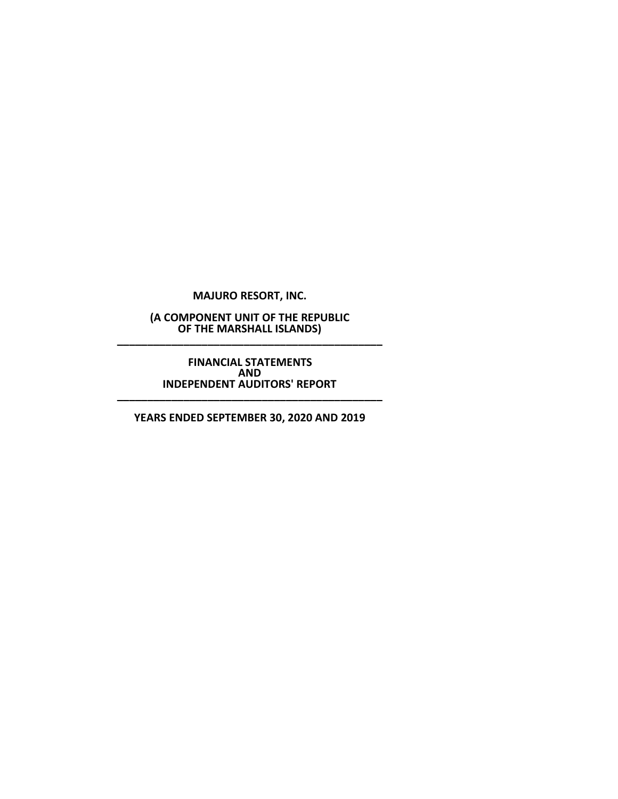**MAJURO RESORT, INC.**

**(A COMPONENT UNIT OF THE REPUBLIC OF THE MARSHALL ISLANDS)** 

**FINANCIAL STATEMENTS AND INDEPENDENT AUDITORS' REPORT \_\_\_\_\_\_\_\_\_\_\_\_\_\_\_\_\_\_\_\_\_\_\_\_\_\_\_\_\_\_\_\_\_\_\_\_\_\_\_\_\_\_\_\_**

**YEARS ENDED SEPTEMBER 30, 2020 AND 2019**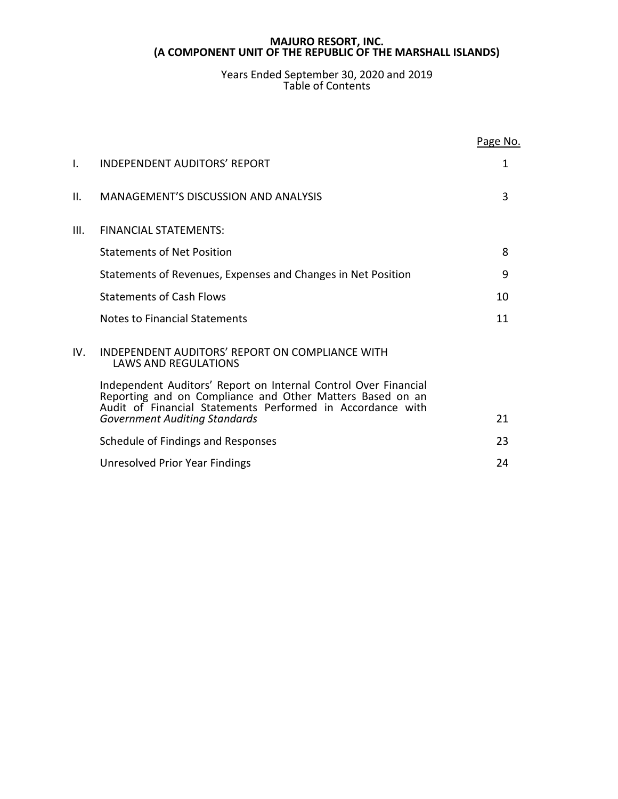# Years Ended September 30, 2020 and 2019 Table of Contents

|      |                                                                                                                                                                                            | Page No. |
|------|--------------------------------------------------------------------------------------------------------------------------------------------------------------------------------------------|----------|
| I.   | <b>INDEPENDENT AUDITORS' REPORT</b>                                                                                                                                                        | 1        |
| ΙΙ.  | <b>MANAGEMENT'S DISCUSSION AND ANALYSIS</b>                                                                                                                                                | 3        |
| III. | <b>FINANCIAL STATEMENTS:</b>                                                                                                                                                               |          |
|      | <b>Statements of Net Position</b>                                                                                                                                                          | 8        |
|      | Statements of Revenues, Expenses and Changes in Net Position                                                                                                                               | 9        |
|      | <b>Statements of Cash Flows</b>                                                                                                                                                            | 10       |
|      | <b>Notes to Financial Statements</b>                                                                                                                                                       | 11       |
| IV.  | INDEPENDENT AUDITORS' REPORT ON COMPLIANCE WITH<br><b>LAWS AND REGULATIONS</b>                                                                                                             |          |
|      | Independent Auditors' Report on Internal Control Over Financial<br>Reporting and on Compliance and Other Matters Based on an<br>Audit of Financial Statements Performed in Accordance with |          |
|      | <b>Government Auditing Standards</b>                                                                                                                                                       | 21       |
|      | Schedule of Findings and Responses                                                                                                                                                         | 23       |
|      | Unresolved Prior Year Findings                                                                                                                                                             | 24       |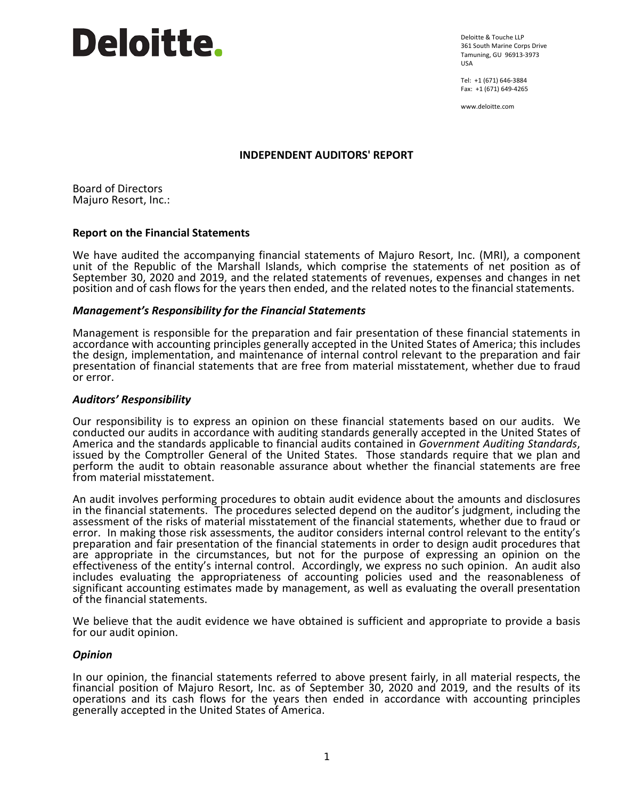# **Deloitte.**

Deloitte & Touche LLP 361 South Marine Corps Drive Tamuning, GU 96913-3973 USA

Tel: +1 (671) 646-3884 Fax: +1 (671) 649-4265

www.deloitte.com

# **INDEPENDENT AUDITORS' REPORT**

Board of Directors Majuro Resort, Inc.:

# **Report on the Financial Statements**

We have audited the accompanying financial statements of Majuro Resort, Inc. (MRI), a component unit of the Republic of the Marshall Islands, which comprise the statements of net position as of September 30, 2020 and 2019, and the related statements of revenues, expenses and changes in net position and of cash flows for the years then ended, and the related notes to the financial statements.

# *Management's Responsibility for the Financial Statements*

Management is responsible for the preparation and fair presentation of these financial statements in accordance with accounting principles generally accepted in the United States of America; this includes the design, implementation, and maintenance of internal control relevant to the preparation and fair presentation of financial statements that are free from material misstatement, whether due to fraud or error.

# *Auditors' Responsibility*

Our responsibility is to express an opinion on these financial statements based on our audits. We conducted our audits in accordance with auditing standards generally accepted in the United States of America and the standards, and the standards, issued by the Comptroller General of the United States. Those standards require that we plan and perform the audit to obtain reasonable assurance about whether the financial statements are free from material misstatement.

An audit involves performing procedures to obtain audit evidence about the amounts and disclosures in the financial statements. The procedures selected depend on the auditor's judgment, including the assessment of the risks of material misstatement of the financial statements, whether due to fraud or error. In making those risk assessments, the auditor considers internal control relevant to the entity's preparation and fair presentation of the financial statements in order to design audit procedures that are appropriate in the circumstances, but not for the purpose of expressing an opinion on the effectiveness of the entity's internal control. Accordingly, we express no such opinion. An audit also includes evaluating the appropriateness of accounting policies used and the reasonableness of significant accounting estimates made by management, as well as evaluating the overall presentation of the financial statements.

We believe that the audit evidence we have obtained is sufficient and appropriate to provide a basis for our audit opinion.

# *Opinion*

In our opinion, the financial statements referred to above present fairly, in all material respects, the financial position of Majuro Resort, Inc. as of September 30, 2020 and 2019, and the results of its operations and its cash flows for the years then ended in accordance with accounting principles generally accepted in the United States of America.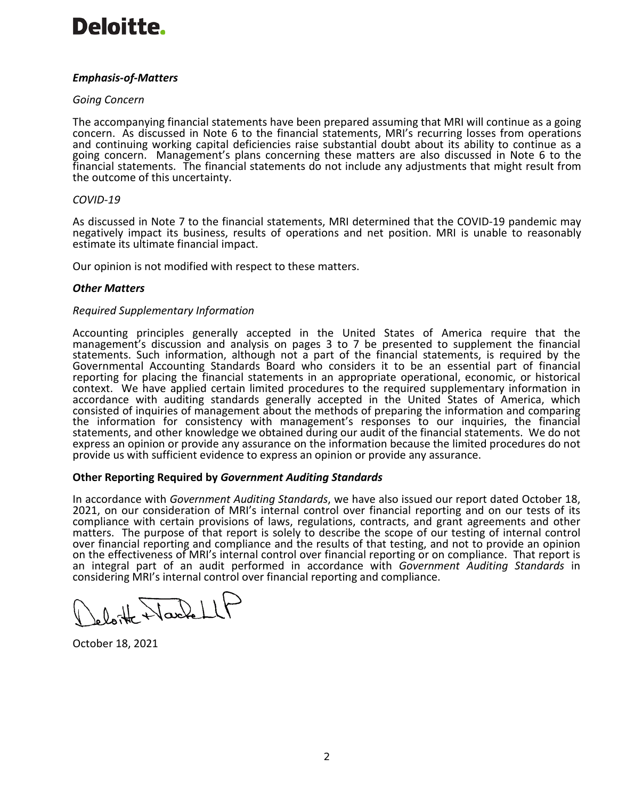

# *Emphasis-of-Matters*

# *Going Concern*

The accompanying financial statements have been prepared assuming that MRI will continue as a going concern. As discussed in Note 6 to the financial statements, MRI's recurring losses from operations and continuing working capital deficiencies raise substantial doubt about its ability to continue as a going concern. Management's plans concerning these matters are also discussed in Note 6 to the financial statements. The financial statements do not include any adjustments that might result from the outcome of this uncertainty.

# *COVID-19*

As discussed in Note 7 to the financial statements, MRI determined that the COVID-19 pandemic may negatively impact its business, results of operations and net position. MRI is unable to reasonably estimate its ultimate financial impact.

Our opinion is not modified with respect to these matters.

# *Other Matters*

# *Required Supplementary Information*

Accounting principles generally accepted in the United States of America require that the management's discussion and analysis on pages 3 to 7 be presented to supplement the financial statements. Such information, although not a part of the financial statements, is required by the Governmental Accounting Standards Board who considers it to be an essential part of financial reporting for placing the financial statements in an appropriate operational, economic, or historical context. We have applied certain limited procedures to the required supplementary information in accordance with auditing standards generally accepted in the United States of America, which consisted of inquiries of management about the methods of preparing the information and comparing the information for consistency with management's responses to our inquiries, the financial statements, and other knowledge we obtained during our audit of the financial statements. We do not express an opinion or provide any assurance on the information because the limited procedures do not provide us with sufficient evidence to express an opinion or provide any assurance.

#### **Other Reporting Required by** *Government Auditing Standards*

In accordance with *Government Auditing Standards*, we have also issued our report dated October 18, 2021, on our consideration of MRI's internal control over financial reporting and on our tests of its compliance with certain provisions of laws, regulations, contracts, and grant agreements and other matters. The purpose of that report is solely to describe the scope of our testing of internal control over financial reporting and compliance and the results of that testing, and not to provide an opinion on the effectiveness of MRI's internal control over financial reporting or on compliance. That report is an integral part of an audit performed in accordance with *Government Auditing Standards* in considering MRI's internal control over financial reporting and compliance.

loite Nachell

October 18, 2021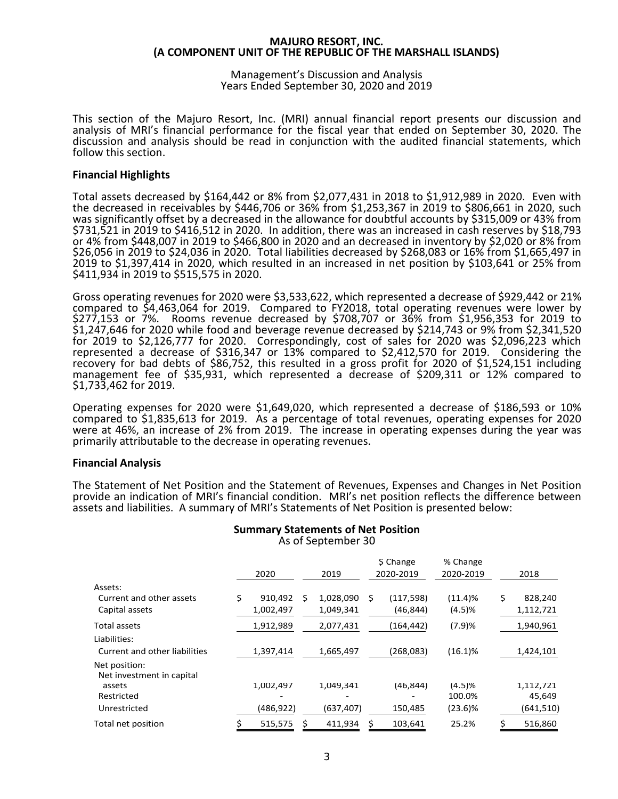Management's Discussion and Analysis Years Ended September 30, 2020 and 2019

This section of the Majuro Resort, Inc. (MRI) annual financial report presents our discussion and analysis of MRI's financial performance for the fiscal year that ended on September 30, 2020. The discussion and analysis should be read in conjunction with the audited financial statements, which follow this section.

#### **Financial Highlights**

Total assets decreased by \$164,442 or 8% from \$2,077,431 in 2018 to \$1,912,989 in 2020. Even with the decreased in receivables by \$446,706 or 36% from \$1,253,367 in 2019 to \$806,661 in 2020, such was significantly offset by a decreased in the allowance for doubtful accounts by \$315,009 or 43% from<br>\$731,521 in 2019 to \$416,512 in 2020. In addition, there was an increased in cash reserves by \$18,793 or 4% from \$448,007 in 2019 to \$466,800 in 2020 and an decreased in inventory by \$2,020 or 8% from<br>\$26,056 in 2019 to \$24,036 in 2020. Total liabilities decreased by \$268,083 or 16% from \$1,665,497 in 2019 to \$1,397,414 in 2020, which resulted in an increased in net position by \$103,641 or 25% from \$411,934 in 2019 to \$515,575 in 2020.

Gross operating revenues for 2020 were \$3,533,622, which represented a decrease of \$929,442 or 21% compared to \$4,463,064 for 2019. Compared to FY2018, total operating revenues were lower by<br>\$277,153 or 7%. Rooms revenue decreased by \$708,707 or 36% from \$1,956,353 for 2019 to<br>\$1,247,646 for 2020 while food and beverage for 2019 to \$2,126,777 for 2020. Correspondingly, cost of sales for 2020 was \$2,096,223 which represented a decrease of \$316,347 or 13% compared to \$2,412,570 for 2019. Considering the recovery for bad debts of \$86,752, this resulted in a gross profit for 2020 of \$1,524,151 including<br>management fee of \$35,931, which represented a decrease of \$209,311 or 12% compared to<br>\$1,733,462 for 2019.

Operating expenses for 2020 were \$1,649,020, which represented a decrease of \$186,593 or 10% compared to \$1,835,613 for 2019. As a percentage of total revenues, operating expenses for 2020 were at 46%, an increase of 2% from 2019. The increase in operating expenses during the year was primarily attributable to the decrease in operating revenues.

#### **Financial Analysis**

The Statement of Net Position and the Statement of Revenues, Expenses and Changes in Net Position provide an indication of MRI's financial condition. MRI's net position reflects the difference between assets and liabilities. A summary of MRI's Statements of Net Position is presented below:

| <b>Summary Statements of Net Position</b><br>As of September 30                    |   |                        |   |                         |   |                        |                                |    |                                  |
|------------------------------------------------------------------------------------|---|------------------------|---|-------------------------|---|------------------------|--------------------------------|----|----------------------------------|
|                                                                                    |   | 2020                   |   | 2019                    |   | S Change<br>2020-2019  | % Change<br>2020-2019          |    | 2018                             |
| Assets:<br>Current and other assets<br>Capital assets                              | S | 910,492<br>1,002,497   | S | 1,028,090<br>1,049,341  | s | (117,598)<br>(46,844)  | (11.4)%<br>(4.5)%              | S  | 828,240<br>1,112,721             |
| Total assets<br>Liabilities:<br>Current and other liabilities                      |   | 1,912,989<br>1,397,414 |   | 2,077,431<br>1,665,497  |   | (164,442)<br>(268,083) | (7.9)%<br>$(16.1)\%$           |    | 1,940,961<br>1,424,101           |
| Net position:<br>Net investment in capital<br>assets<br>Restricted<br>Unrestricted |   | 1,002,497<br>(486,922) |   | 1,049,341<br>(637, 407) |   | (46, 844)<br>150,485   | (4.5)%<br>100.0%<br>$(23.6)\%$ |    | 1,112,721<br>45,649<br>(641,510) |
| Total net position                                                                 |   | 515,575                | Ś | 411,934                 | S | 103,641                | 25.2%                          | \$ | 516,860                          |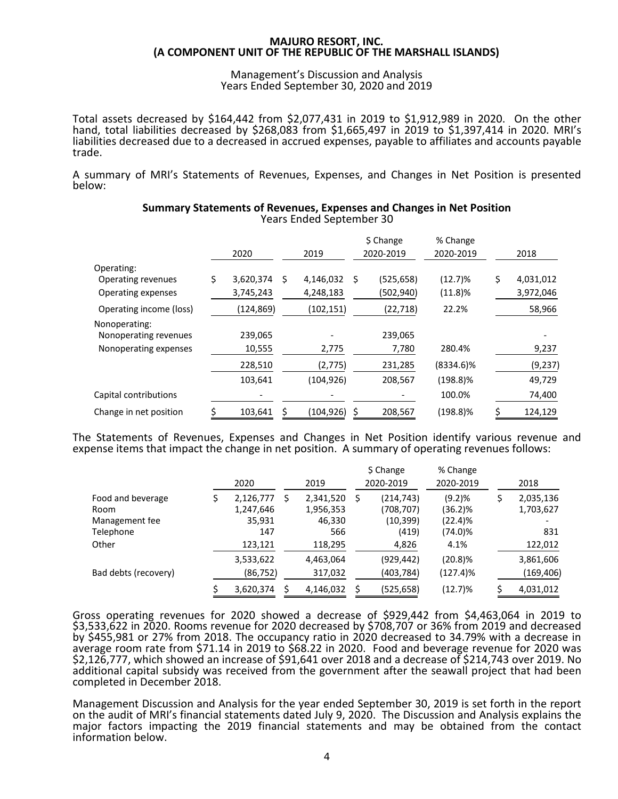Management's Discussion and Analysis Years Ended September 30, 2020 and 2019

Total assets decreased by \$164,442 from \$2,077,431 in 2019 to \$1,912,989 in 2020. On the other hand, total liabilities decreased by \$268,083 from \$1,665,497 in 2019 to \$1,397,414 in 2020. MRI's liabilities decreased due to a decreased in accrued expenses, payable to affiliates and accounts payable trade.

A summary of MRI's Statements of Revenues, Expenses, and Changes in Net Position is presented below:

|                         |    | 2020      |   | 2019         |   | S Change<br>2020-2019 | % Change<br>2020-2019 |    | 2018      |
|-------------------------|----|-----------|---|--------------|---|-----------------------|-----------------------|----|-----------|
|                         |    |           |   |              |   |                       |                       |    |           |
| Operating:              |    |           |   |              |   |                       |                       |    |           |
| Operating revenues      | Ş  | 3,620,374 | S | 4,146,032    | S | (525, 658)            | $(12.7)\%$            | Ş  | 4,031,012 |
| Operating expenses      |    | 3,745,243 |   | 4,248,183    |   | (502, 940)            | $(11.8)\%$            |    | 3,972,046 |
| Operating income (loss) |    | (124,869) |   | (102, 151)   |   | (22, 718)             | 22.2%                 |    | 58,966    |
| Nonoperating:           |    |           |   |              |   |                       |                       |    |           |
| Nonoperating revenues   |    | 239,065   |   |              |   | 239,065               |                       |    |           |
| Nonoperating expenses   |    | 10,555    |   | 2,775        |   | 7,780                 | 280.4%                |    | 9,237     |
|                         |    | 228,510   |   | (2,775)      |   | 231,285               | $(8334.6)\%$          |    | (9, 237)  |
|                         |    | 103,641   |   | (104, 926)   |   | 208,567               | $(198.8)\%$           |    | 49,729    |
| Capital contributions   |    |           |   |              |   |                       | 100.0%                |    | 74,400    |
| Change in net position  | \$ | 103,641   | Ś | (104,926) \$ |   | 208,567               | (198.8)%              | \$ | 124,129   |

#### **Summary Statements of Revenues, Expenses and Changes in Net Position** Years Ended September 30

The Statements of Revenues, Expenses and Changes in Net Position identify various revenue and expense items that impact the change in net position. A summary of operating revenues follows:

|                      |           |   |           |   | \$ Change  | % Change    |           |
|----------------------|-----------|---|-----------|---|------------|-------------|-----------|
|                      | 2020      |   | 2019      |   | 2020-2019  | 2020-2019   | 2018      |
| Food and beverage    | 2,126,777 | S | 2,341,520 | Ş | (214,743)  | (9.2)%      | 2,035,136 |
| Room                 | 1,247,646 |   | 1,956,353 |   | (708,707)  | (36.2)%     | 1,703,627 |
| Management fee       | 35,931    |   | 46,330    |   | (10, 399)  | (22.4)%     |           |
| Telephone            | 147       |   | 566       |   | (419)      | (74.0)%     | 831       |
| Other                | 123,121   |   | 118,295   |   | 4,826      | 4.1%        | 122,012   |
|                      | 3,533,622 |   | 4,463,064 |   | (929,442)  | $(20.8)\%$  | 3,861,606 |
| Bad debts (recovery) | (86, 752) |   | 317,032   |   | (403,784)  | $(127.4)\%$ | (169,406) |
|                      | 3,620,374 |   | 4,146,032 |   | (525, 658) | $(12.7)\%$  | 4,031,012 |

Gross operating revenues for 2020 showed a decrease of \$929,442 from \$4,463,064 in 2019 to \$3,533,622 in 2020. Rooms revenue for 2020 decreased by \$708,707 or 36% from 2019 and decreased by \$455,981 or 27% from 2018. The occupancy ratio in 2020 decreased to 34.79% with a decrease in average room rate from \$71.14 in 2019 to \$68.22 in 2020. Food and beverage revenue for 2020 was \$2,126,777, which showed an increase of \$91,641 over 2018 and a decrease of \$214,743 over 2019. No additional capital subsidy was received from the government after the seawall project that had been completed in December 2018.

Management Discussion and Analysis for the year ended September 30, 2019 is set forth in the report on the audit of MRI's financial statements dated July 9, 2020. The Discussion and Analysis explains the major factors impacting the 2019 financial statements and may be obtained from the contact information below.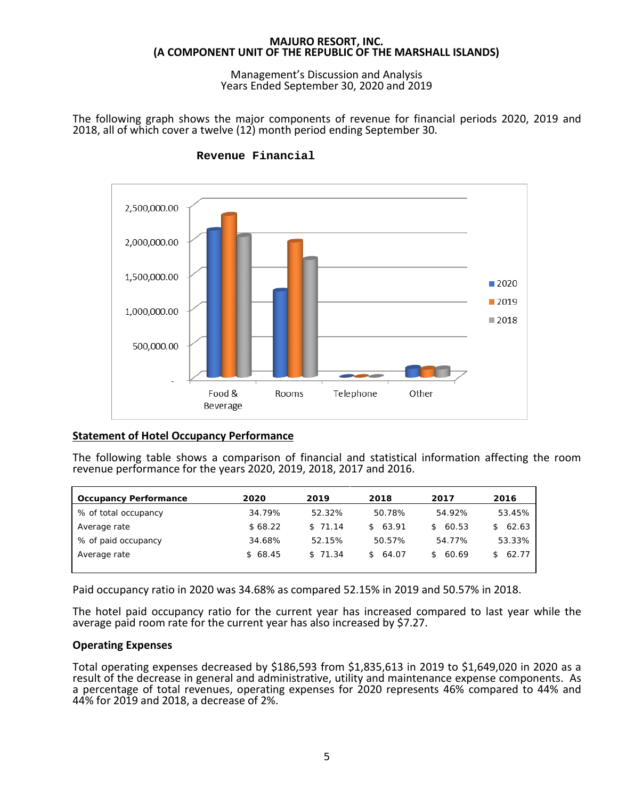Management's Discussion and Analysis Years Ended September 30, 2020 and 2019

The following graph shows the major components of revenue for financial periods 2020, 2019 and 2018, all of which cover a twelve (12) month period ending September 30.



# **Revenue Financial**

# **Statement of Hotel Occupancy Performance**

The following table shows a comparison of financial and statistical information affecting the room revenue performance for the years 2020, 2019, 2018, 2017 and 2016.

| <b>Occupancy Performance</b> | 2020    | 2019    | 2018        | 2017        | 2016   |
|------------------------------|---------|---------|-------------|-------------|--------|
| % of total occupancy         | 34.79%  | 52.32%  | 50.78%      | 54.92%      | 53.45% |
| Average rate                 | \$68.22 | \$71.14 | 63.91<br>S. | 60.53<br>S. | 62.63  |
| % of paid occupancy          | 34.68%  | 52.15%  | 50.57%      | 54.77%      | 53.33% |
| Average rate                 | \$68.45 | \$71.34 | 64.07<br>S. | 60.69<br>\$ | 62.77  |
|                              |         |         |             |             |        |

Paid occupancy ratio in 2020 was 34.68% as compared 52.15% in 2019 and 50.57% in 2018.

The hotel paid occupancy ratio for the current year has increased compared to last year while the average paid room rate for the current year has also increased by \$7.27.

# **Operating Expenses**

Total operating expenses decreased by \$186,593 from \$1,835,613 in 2019 to \$1,649,020 in 2020 as a result of the decrease in general and administrative, utility and maintenance expense components. As a percentage of total revenues, operating expenses for 2020 represents 46% compared to 44% and 44% for 2019 and 2018, a decrease of 2%.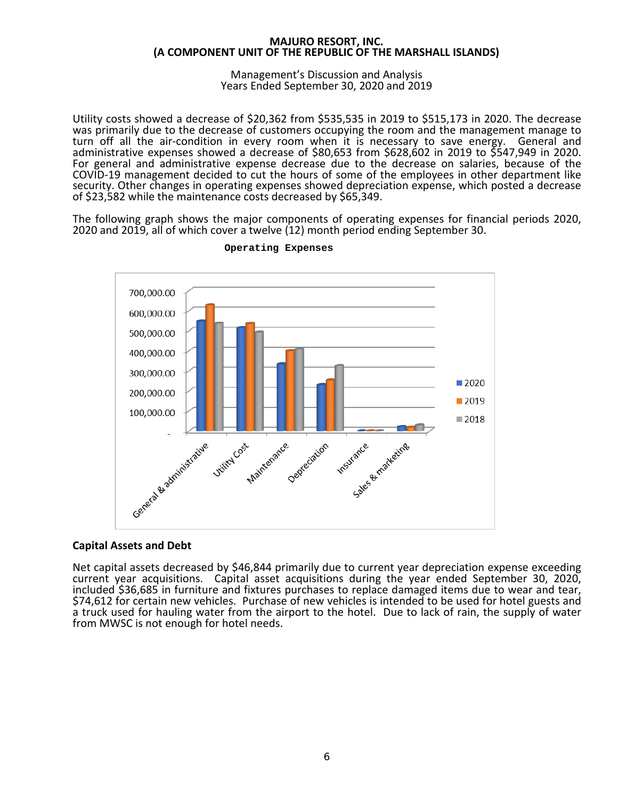Management's Discussion and Analysis Years Ended September 30, 2020 and 2019

Utility costs showed a decrease of \$20,362 from \$535,535 in 2019 to \$515,173 in 2020. The decrease was primarily due to the decrease of customers occupying the room and the management manage to turn off all the air-condition in every room when it is necessary to save energy. General and administrative expenses showed a decrease of \$80,653 from \$628,602 in 2019 to  $$547,949$  in 2020. For general and administrative expense decrease due to the decrease on salaries, because of the COVID-19 management decided to cut the hours of some of the employees in other department like security. Other changes in operating expenses showed depreciation expense, which posted a decrease of \$23,582 while the maintenance costs decreased by \$65,349.

The following graph shows the major components of operating expenses for financial periods 2020, 2020 and 2019, all of which cover a twelve (12) month period ending September 30.



#### **Operating Expenses**

# **Capital Assets and Debt**

Net capital assets decreased by \$46,844 primarily due to current year depreciation expense exceeding current year acquisitions. Capital asset acquisitions during the year ended September 30, 2020, \$74,612 for certain new vehicles. Purchase of new vehicles is intended to be used for hotel guests and a truck used for hauling water from the airport to the hotel. Due to lack of rain, the supply of water from MWSC is not enough for hotel needs.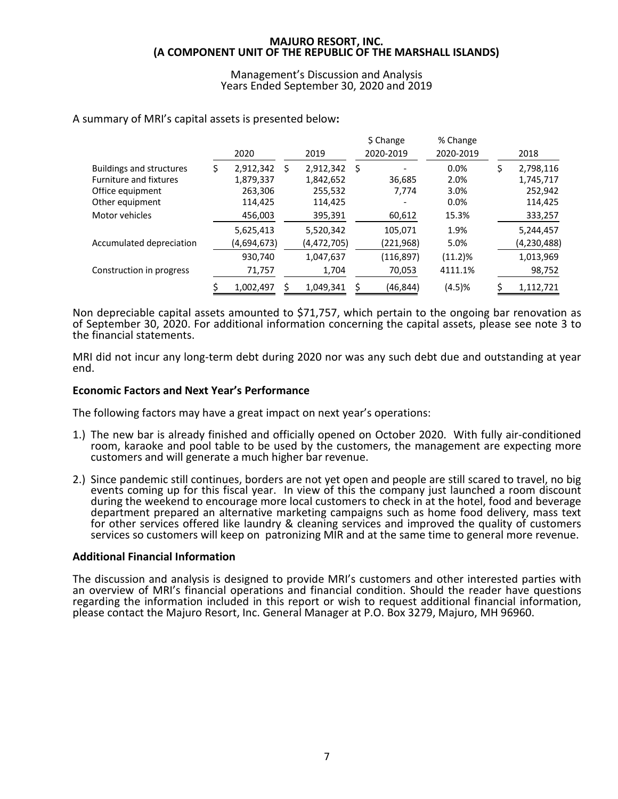Management's Discussion and Analysis Years Ended September 30, 2020 and 2019

|                                 |    |             |   |               |   | \$ Change  | % Change   |   |             |
|---------------------------------|----|-------------|---|---------------|---|------------|------------|---|-------------|
|                                 |    | 2020        |   | 2019          |   | 2020-2019  | 2020-2019  |   | 2018        |
| <b>Buildings and structures</b> | Ş. | 2,912,342   | S | 2,912,342     | S |            | 0.0%       | Ş | 2,798,116   |
| <b>Furniture and fixtures</b>   |    | 1,879,337   |   | 1,842,652     |   | 36,685     | 2.0%       |   | 1,745,717   |
| Office equipment                |    | 263,306     |   | 255,532       |   | 7,774      | 3.0%       |   | 252,942     |
| Other equipment                 |    | 114,425     |   | 114,425       |   |            | 0.0%       |   | 114,425     |
| Motor vehicles                  |    | 456,003     |   | 395,391       |   | 60,612     | 15.3%      |   | 333,257     |
|                                 |    | 5,625,413   |   | 5,520,342     |   | 105,071    | 1.9%       |   | 5,244,457   |
| Accumulated depreciation        |    | (4,694,673) |   | (4, 472, 705) |   | (221,968)  | 5.0%       |   | (4,230,488) |
|                                 |    | 930,740     |   | 1,047,637     |   | (116, 897) | $(11.2)\%$ |   | 1,013,969   |
| Construction in progress        |    | 71,757      |   | 1,704         |   | 70,053     | 4111.1%    |   | 98,752      |
|                                 |    | 1,002,497   |   | 1,049,341     |   | (46, 844)  | (4.5)%     |   | 1,112,721   |

# A summary of MRI's capital assets is presented below**:**

Non depreciable capital assets amounted to \$71,757, which pertain to the ongoing bar renovation as of September 30, 2020. For additional information concerning the capital assets, please see note 3 to the financial statements.

MRI did not incur any long-term debt during 2020 nor was any such debt due and outstanding at year end.

# **Economic Factors and Next Year's Performance**

The following factors may have a great impact on next year's operations:

- 1.) The new bar is already finished and officially opened on October 2020. With fully air-conditioned room, karaoke and pool table to be used by the customers, the management are expecting more customers and will generate a much higher bar revenue.
- 2.) Since pandemic still continues, borders are not yet open and people are still scared to travel, no big events coming up for this fiscal year. In view of this the company just launched a room discount during the weekend to encourage more local customers to check in at the hotel, food and beverage department prepared an alternative marketing campaigns such as home food delivery, mass text for other services offered like laundry & cleaning services and improved the quality of customers services so customers will keep on patronizing MIR and at the same time to general more revenue.

#### **Additional Financial Information**

The discussion and analysis is designed to provide MRI's customers and other interested parties with an overview of MRI's financial operations and financial condition. Should the reader have questions regarding the information included in this report or wish to request additional financial information, please contact the Majuro Resort, Inc. General Manager at P.O. Box 3279, Majuro, MH 96960.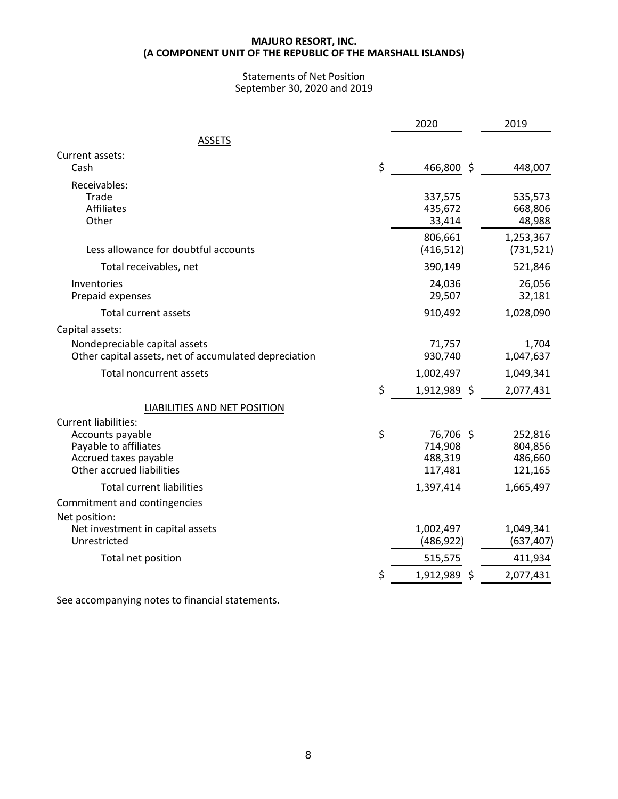# Statements of Net Position September 30, 2020 and 2019

|                                                                                                                                | 2020                                             |    | 2019                                     |
|--------------------------------------------------------------------------------------------------------------------------------|--------------------------------------------------|----|------------------------------------------|
| <b>ASSETS</b>                                                                                                                  |                                                  |    |                                          |
| Current assets:<br>Cash                                                                                                        | \$<br>466,800                                    | \$ | 448,007                                  |
| Receivables:<br>Trade<br><b>Affiliates</b><br>Other                                                                            | 337,575<br>435,672<br>33,414                     |    | 535,573<br>668,806<br>48,988             |
| Less allowance for doubtful accounts                                                                                           | 806,661<br>(416, 512)                            |    | 1,253,367<br>(731, 521)                  |
| Total receivables, net                                                                                                         | 390,149                                          |    | 521,846                                  |
| Inventories<br>Prepaid expenses                                                                                                | 24,036<br>29,507                                 |    | 26,056<br>32,181                         |
| <b>Total current assets</b>                                                                                                    | 910,492                                          |    | 1,028,090                                |
| Capital assets:                                                                                                                |                                                  |    |                                          |
| Nondepreciable capital assets<br>Other capital assets, net of accumulated depreciation                                         | 71,757<br>930,740                                |    | 1,704<br>1,047,637                       |
| <b>Total noncurrent assets</b>                                                                                                 | 1,002,497                                        |    | 1,049,341                                |
|                                                                                                                                | \$<br>1,912,989                                  | Ş  | 2,077,431                                |
| LIABILITIES AND NET POSITION                                                                                                   |                                                  |    |                                          |
| <b>Current liabilities:</b><br>Accounts payable<br>Payable to affiliates<br>Accrued taxes payable<br>Other accrued liabilities | \$<br>76,706 \$<br>714,908<br>488,319<br>117,481 |    | 252,816<br>804,856<br>486,660<br>121,165 |
| <b>Total current liabilities</b>                                                                                               | 1,397,414                                        |    | 1,665,497                                |
| Commitment and contingencies<br>Net position:                                                                                  |                                                  |    |                                          |
| Net investment in capital assets<br>Unrestricted                                                                               | 1,002,497<br>(486, 922)                          |    | 1,049,341<br>(637,407)                   |
| Total net position                                                                                                             | 515,575                                          |    | 411,934                                  |
|                                                                                                                                | \$<br>1,912,989                                  | \$ | 2,077,431                                |
|                                                                                                                                |                                                  |    |                                          |

See accompanying notes to financial statements.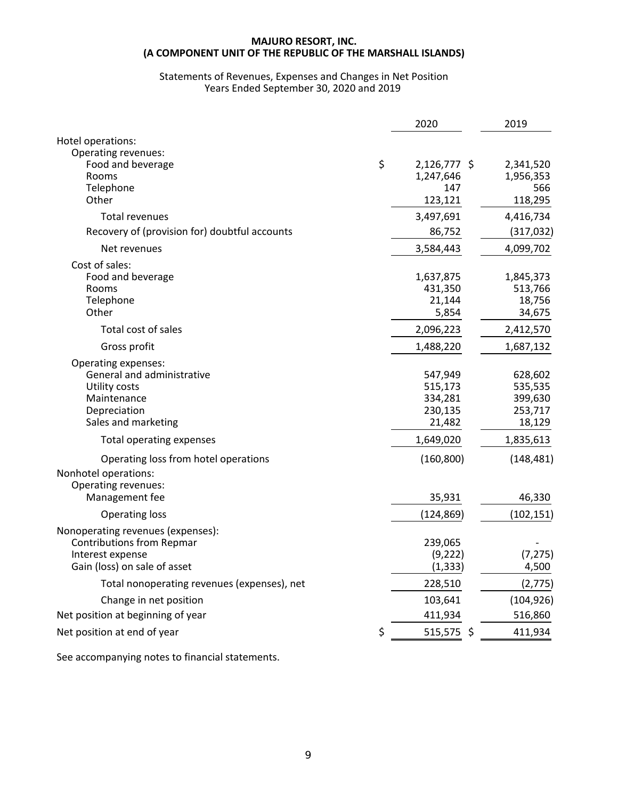# Statements of Revenues, Expenses and Changes in Net Position Years Ended September 30, 2020 and 2019

|                                               | 2020         | 2019       |
|-----------------------------------------------|--------------|------------|
| Hotel operations:                             |              |            |
| Operating revenues:                           |              |            |
| \$<br>Food and beverage                       | 2,126,777 \$ | 2,341,520  |
| Rooms                                         | 1,247,646    | 1,956,353  |
| Telephone                                     | 147          | 566        |
| Other                                         | 123,121      | 118,295    |
| Total revenues                                | 3,497,691    | 4,416,734  |
| Recovery of (provision for) doubtful accounts | 86,752       | (317, 032) |
| Net revenues                                  | 3,584,443    | 4,099,702  |
| Cost of sales:                                |              |            |
| Food and beverage                             | 1,637,875    | 1,845,373  |
| Rooms                                         | 431,350      | 513,766    |
| Telephone                                     | 21,144       | 18,756     |
| Other                                         | 5,854        | 34,675     |
| Total cost of sales                           | 2,096,223    | 2,412,570  |
| Gross profit                                  | 1,488,220    | 1,687,132  |
| Operating expenses:                           |              |            |
| General and administrative                    | 547,949      | 628,602    |
| Utility costs                                 | 515,173      | 535,535    |
| Maintenance                                   | 334,281      | 399,630    |
| Depreciation                                  | 230,135      | 253,717    |
| Sales and marketing                           | 21,482       | 18,129     |
| <b>Total operating expenses</b>               | 1,649,020    | 1,835,613  |
| Operating loss from hotel operations          | (160, 800)   | (148, 481) |
| Nonhotel operations:                          |              |            |
| Operating revenues:                           |              |            |
| Management fee                                | 35,931       | 46,330     |
| <b>Operating loss</b>                         | (124, 869)   | (102, 151) |
| Nonoperating revenues (expenses):             |              |            |
| <b>Contributions from Repmar</b>              | 239,065      |            |
| Interest expense                              | (9, 222)     | (7, 275)   |
| Gain (loss) on sale of asset                  | (1, 333)     | 4,500      |
| Total nonoperating revenues (expenses), net   | 228,510      | (2, 775)   |
| Change in net position                        | 103,641      | (104, 926) |
| Net position at beginning of year             | 411,934      | 516,860    |
| \$<br>Net position at end of year             | 515,575 \$   | 411,934    |

See accompanying notes to financial statements.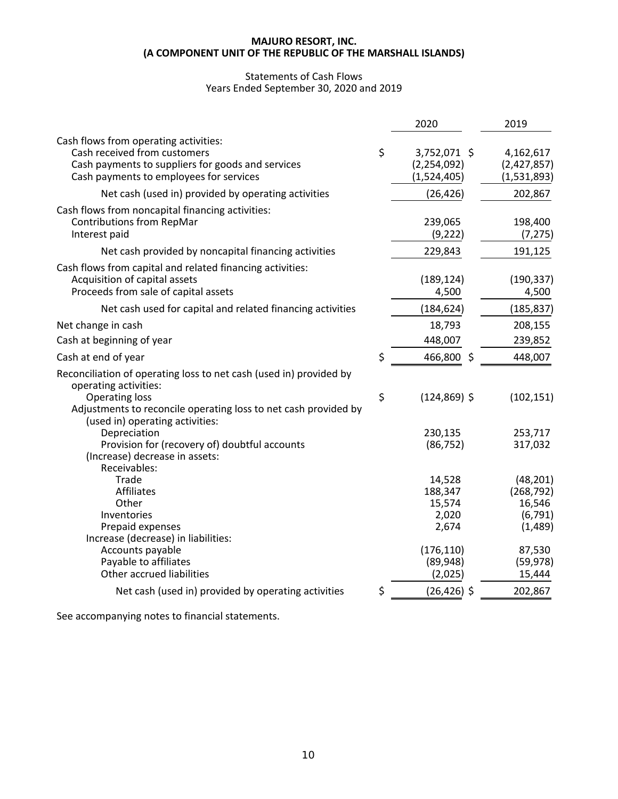# Statements of Cash Flows Years Ended September 30, 2020 and 2019

|                                                                                                                                                                                         |              | 2020                                                        | 2019                                                               |
|-----------------------------------------------------------------------------------------------------------------------------------------------------------------------------------------|--------------|-------------------------------------------------------------|--------------------------------------------------------------------|
| Cash flows from operating activities:<br>Cash received from customers<br>Cash payments to suppliers for goods and services<br>Cash payments to employees for services                   | $\mathsf{S}$ | 3,752,071 \$<br>(2, 254, 092)<br>(1,524,405)                | 4,162,617<br>(2,427,857)<br>(1,531,893)                            |
| Net cash (used in) provided by operating activities                                                                                                                                     |              | (26, 426)                                                   | 202,867                                                            |
| Cash flows from noncapital financing activities:<br>Contributions from RepMar<br>Interest paid                                                                                          |              | 239,065<br>(9, 222)                                         | 198,400<br>(7, 275)                                                |
| Net cash provided by noncapital financing activities                                                                                                                                    |              | 229,843                                                     | 191,125                                                            |
| Cash flows from capital and related financing activities:<br>Acquisition of capital assets<br>Proceeds from sale of capital assets                                                      |              | (189, 124)<br>4,500                                         | (190, 337)<br>4,500                                                |
| Net cash used for capital and related financing activities                                                                                                                              |              | (184, 624)                                                  | (185, 837)                                                         |
| Net change in cash                                                                                                                                                                      |              | 18,793                                                      | 208,155                                                            |
| Cash at beginning of year                                                                                                                                                               |              | 448,007                                                     | 239,852                                                            |
| Cash at end of year                                                                                                                                                                     | \$           | 466,800<br>\$                                               | 448,007                                                            |
| Reconciliation of operating loss to net cash (used in) provided by<br>operating activities:<br><b>Operating loss</b><br>Adjustments to reconcile operating loss to net cash provided by | \$           | $(124, 869)$ \$                                             | (102, 151)                                                         |
| (used in) operating activities:<br>Depreciation<br>Provision for (recovery of) doubtful accounts<br>(Increase) decrease in assets:<br>Receivables:                                      |              | 230,135<br>(86, 752)                                        | 253,717<br>317,032                                                 |
| Trade<br>Affiliates<br>Other<br>Inventories<br>Prepaid expenses<br>Increase (decrease) in liabilities:<br>Accounts payable                                                              |              | 14,528<br>188,347<br>15,574<br>2,020<br>2,674<br>(176, 110) | (48, 201)<br>(268, 792)<br>16,546<br>(6, 791)<br>(1,489)<br>87,530 |
| Payable to affiliates                                                                                                                                                                   |              | (89, 948)                                                   | (59, 978)                                                          |
| Other accrued liabilities                                                                                                                                                               |              | (2,025)                                                     | 15,444                                                             |
| Net cash (used in) provided by operating activities                                                                                                                                     | \$           | $(26, 426)$ \$                                              | 202,867                                                            |

See accompanying notes to financial statements.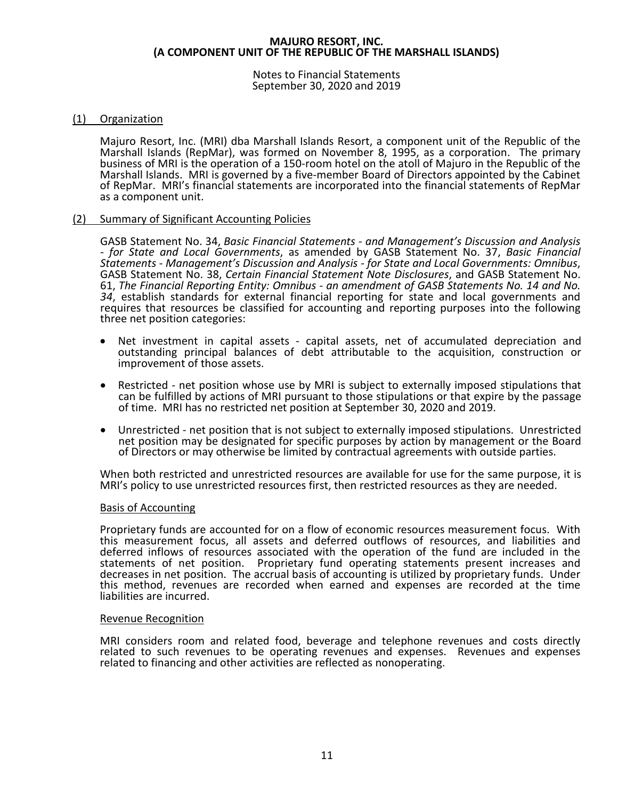Notes to Financial Statements September 30, 2020 and 2019

# (1) Organization

Majuro Resort, Inc. (MRI) dba Marshall Islands Resort, a component unit of the Republic of the Marshall Islands (RepMar), was formed on November 8, 1995, as a corporation. The primary business of MRI is the operation of a 150-room hotel on the atoll of Majuro in the Republic of the Marshall Islands. MRI is governed by a five-member Board of Directors appointed by the Cabinet of RepMar. MRI's financial statements are incorporated into the financial statements of RepMar as a component unit.

# (2) Summary of Significant Accounting Policies

GASB Statement No. 34, *Basic Financial Statements - and Management's Discussion and Analysis - for State and Local Governments*, as amended by GASB Statement No. 37, *Basic Financial Statements - Management's Discussion and Analysis - for State and Local Governments: Omnibus*, GASB Statement No. 38, *Certain Financial Statement Note Disclosures*, and GASB Statement No. 61, *The Financial Reporting Entity: Omnibus - an amendment of GASB Statements No. 14 and No. 34*, establish standards for external financial reporting for state and local governments and requires that resources be classified for accounting and reporting purposes into the following three net position categories:

- Net investment in capital assets capital assets, net of accumulated depreciation and outstanding principal balances of debt attributable to the acquisition, construction or improvement of those assets.
- Restricted net position whose use by MRI is subject to externally imposed stipulations that can be fulfilled by actions of MRI pursuant to those stipulations or that expire by the passage of time. MRI has no restricted net position at September 30, 2020 and 2019.
- Unrestricted net position that is not subject to externally imposed stipulations. Unrestricted net position may be designated for specific purposes by action by management or the Board of Directors or may otherwise be limited by contractual agreements with outside parties.

When both restricted and unrestricted resources are available for use for the same purpose, it is MRI's policy to use unrestricted resources first, then restricted resources as they are needed.

#### Basis of Accounting

Proprietary funds are accounted for on a flow of economic resources measurement focus. With this measurement focus, all assets and deferred outflows of resources, and liabilities and deferred inflows of resources associated with the operation of the fund are included in the statements of net position. Proprietary fund operating statements present increases and decreases in net position. The accrual basis of accounting is utilized by proprietary funds. Under this method, revenues are recorded when earned and expenses are recorded at the time liabilities are incurred.

#### Revenue Recognition

MRI considers room and related food, beverage and telephone revenues and costs directly related to such revenues to be operating revenues and expenses. Revenues and expenses related to financing and other activities are reflected as nonoperating.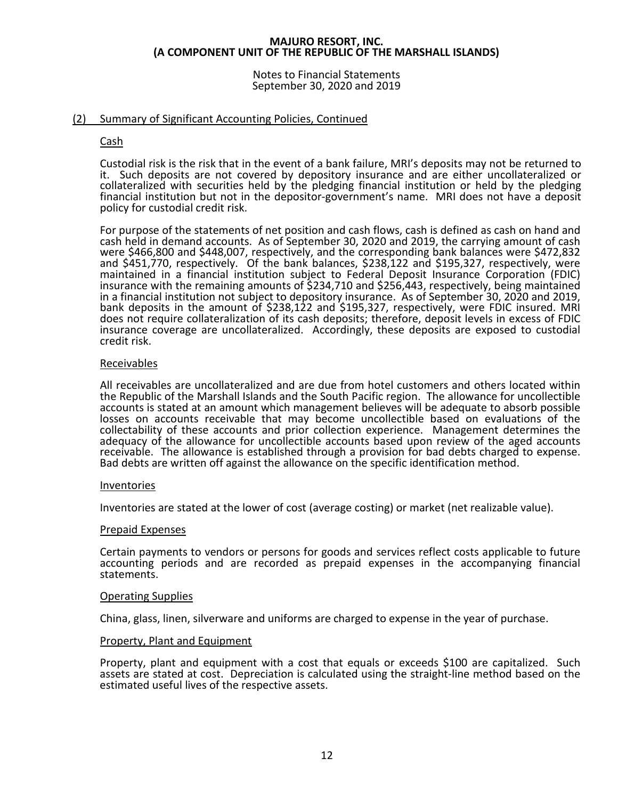Notes to Financial Statements September 30, 2020 and 2019

# (2) Summary of Significant Accounting Policies, Continued

# Cash

Custodial risk is the risk that in the event of a bank failure, MRI's deposits may not be returned to it. Such deposits are not covered by depository insurance and are either uncollateralized or collateralized with securities held by the pledging financial institution or held by the pledging financial institution but not in the depositor-government's name. MRI does not have a deposit policy for custodial credit risk.

For purpose of the statements of net position and cash flows, cash is defined as cash on hand and cash held in demand accounts. As of September 30, 2020 and 2019, the carrying amount of cash were \$466,800 and \$448,007, respectively, and the corresponding bank balances were \$472,832 and \$451,770, respectively. Of the bank balances, \$238,122 and \$195,327, respectively, were maintained in a financial institution subject to Federal Deposit Insurance Corporation (FDIC) insurance with the remaining amounts of \$234,710 and \$256,443, respectively, being maintained<br>in a financial institution not subject to depository insurance. As of September 30, 2020 and 2019, bank deposits in the amount of \$238,122 and \$195,327, respectively, were FDIC insured. MRI does not require collateralization of its cash deposits; therefore, deposit levels in excess of FDIC insurance coverage are uncollateralized. Accordingly, these deposits are exposed to custodial credit risk.

# Receivables

All receivables are uncollateralized and are due from hotel customers and others located within the Republic of the Marshall Islands and the South Pacific region. The allowance for uncollectible accounts is stated at an amount which management believes will be adequate to absorb possible losses on accounts receivable that may become uncollectible based on evaluations of the collectability of these accounts and prior collection experience. Management determines the adequacy of the allowance for uncollectible accounts based upon review of the aged accounts receivable. The allowance is established through a provision for bad debts charged to expense. Bad debts are written off against the allowance on the specific identification method.

# Inventories

Inventories are stated at the lower of cost (average costing) or market (net realizable value).

#### Prepaid Expenses

Certain payments to vendors or persons for goods and services reflect costs applicable to future accounting periods and are recorded as prepaid expenses in the accompanying financial statements.

#### Operating Supplies

China, glass, linen, silverware and uniforms are charged to expense in the year of purchase.

#### Property, Plant and Equipment

Property, plant and equipment with a cost that equals or exceeds \$100 are capitalized. Such assets are stated at cost. Depreciation is calculated using the straight-line method based on the estimated useful lives of the respective assets.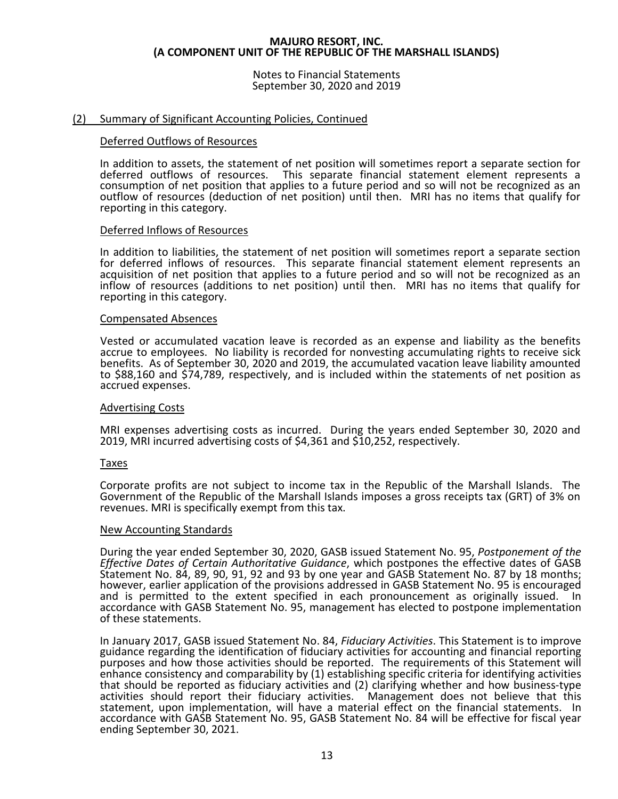Notes to Financial Statements September 30, 2020 and 2019

# (2) Summary of Significant Accounting Policies, Continued

#### Deferred Outflows of Resources

In addition to assets, the statement of net position will sometimes report a separate section for deferred outflows of resources. This separate financial statement element represents a consumption of net position that applies to a future period and so will not be recognized as an outflow of resources (deduction of net position) until then. MRI has no items that qualify for reporting in this category.

#### Deferred Inflows of Resources

In addition to liabilities, the statement of net position will sometimes report a separate section for deferred inflows of resources. This separate financial statement element represents an acquisition of net position that applies to a future period and so will not be recognized as an inflow of resources (additions to net position) until then. MRI has no items that qualify for reporting in this category.

#### Compensated Absences

Vested or accumulated vacation leave is recorded as an expense and liability as the benefits accrue to employees. No liability is recorded for nonvesting accumulating rights to receive sick benefits. As of September 30, 2020 and 2019, the accumulated vacation leave liability amounted to \$88,160 and \$74,789, respectively, and is included within the statements of net position as accrued expenses.

#### Advertising Costs

MRI expenses advertising costs as incurred. During the years ended September 30, 2020 and 2019, MRI incurred advertising costs of \$4,361 and \$10,252, respectively.

#### Taxes

Corporate profits are not subject to income tax in the Republic of the Marshall Islands. The Government of the Republic of the Marshall Islands imposes a gross receipts tax (GRT) of 3% on revenues. MRI is specifically exempt from this tax.

#### New Accounting Standards

During the year ended September 30, 2020, GASB issued Statement No. 95, *Postponement of the Effective Dates of Certain Authoritative Guidance*, which postpones the effective dates of GASB Statement No. 84, 89, 90, 91, 92 and 93 by one year and GASB Statement No. 87 by 18 months; however, earlier application of the provisions addressed in GASB Statement No. 95 is encouraged and is permitted to the extent specified in each pronouncement as originally issued. In accordance with GASB Statement No. 95, management has elected to postpone implementation of these statements.

In January 2017, GASB issued Statement No. 84, *Fiduciary Activities*. This Statement is to improve guidance regarding the identification of fiduciary activities for accounting and financial reporting purposes and how those activities should be reported. The requirements of this Statement will enhance consistency and comparability by (1) establishing specific criteria for identifying activities that should be reported as fiduciary activities and (2) clarifying whether and how business-type activities should report their fiduciary activities. Management does not believe that this statement, upon implementation, will have a material effect on the financial statements. In accordance with GASB Statement No. 95, GASB Statement No. 84 will be effective for fiscal year ending September 30, 2021.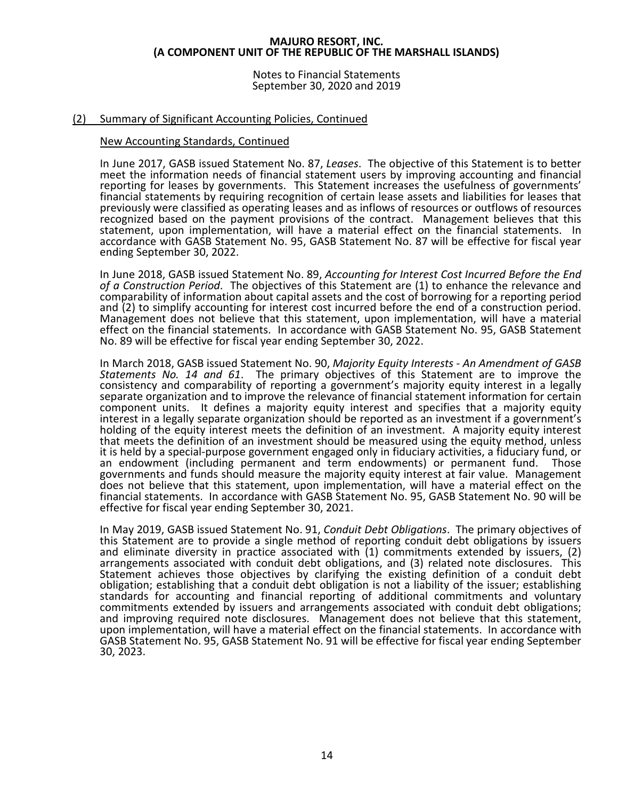Notes to Financial Statements September 30, 2020 and 2019

# (2) Summary of Significant Accounting Policies, Continued

#### New Accounting Standards, Continued

In June 2017, GASB issued Statement No. 87, *Leases*. The objective of this Statement is to better meet the information needs of financial statement users by improving accounting and financial reporting for leases by governments. This Statement increases the usefulness of governments' financial statements by requiring recognition of certain lease assets and liabilities for leases that previously were classified as operating leases and as inflows of resources or outflows of resources recognized based on the payment provisions of the contract. Management believes that this statement, upon implementation, will have a material effect on the financial statements. In accordance with GASB Statement No. 95, GASB Statement No. 87 will be effective for fiscal year ending September 30, 2022.

In June 2018, GASB issued Statement No. 89, *Accounting for Interest Cost Incurred Before the End of a Construction Period*. The objectives of this Statement are (1) to enhance the relevance and comparability of information about capital assets and the cost of borrowing for a reporting period<br>and (2) to simplify accounting for interest cost incurred before the end of a construction period. Management does not believe that this statement, upon implementation, will have a material effect on the financial statements. In accordance with GASB Statement No. 95, GASB Statement No. 89 will be effective for fiscal year ending September 30, 2022.

In March 2018, GASB issued Statement No. 90, *Majority Equity Interests - An Amendment of GASB Statements No. 14 and 61*. The primary objectives of this Statement are to improve the consistency and comparability of reporting a government's majority equity interest in a legally separate organization and to improve the relevance of financial statement information for certain component units. It defines a majority equity interest and specifies that a majority equity interest in a legally separate organization should be reported as an investment if a government's holding of the equity interest meets the definition of an investment. A majority equity interest that meets the definition of an investment should be measured using the equity method, unless it is held by a special-purpose government engaged only in fiduciary activities, a fiduciary fund, or an endowment (including permanent and term endowments) or permanent fund. Those governments and funds should measure the majority equity interest at fair value. Management does not believe that this statement, upon implementation, will have a material effect on the financial statements. In accordance with GASB Statement No. 95, GASB Statement No. 90 will be effective for fiscal year ending September 30, 2021.

In May 2019, GASB issued Statement No. 91, *Conduit Debt Obligations*. The primary objectives of this Statement are to provide a single method of reporting conduit debt obligations by issuers and eliminate diversity in practice associated with (1) commitments extended by issuers, (2) arrangements associated with conduit debt obligations, and (3) related note disclosures. This Statement achieves those objectives by clarifying the existing definition of a conduit debt obligation; establishing that a conduit debt obligation is not a liability of the issuer; establishing standards for accounting and financial reporting of additional commitments and voluntary commitments extended by issuers and arrangements associated with conduit debt obligations; and improving required note disclosures. Management does not believe that this statement, upon implementation, will have a material effect on the financial statements. In accordance with GASB Statement No. 95, GASB Statement No. 91 will be effective for fiscal year ending September 30, 2023.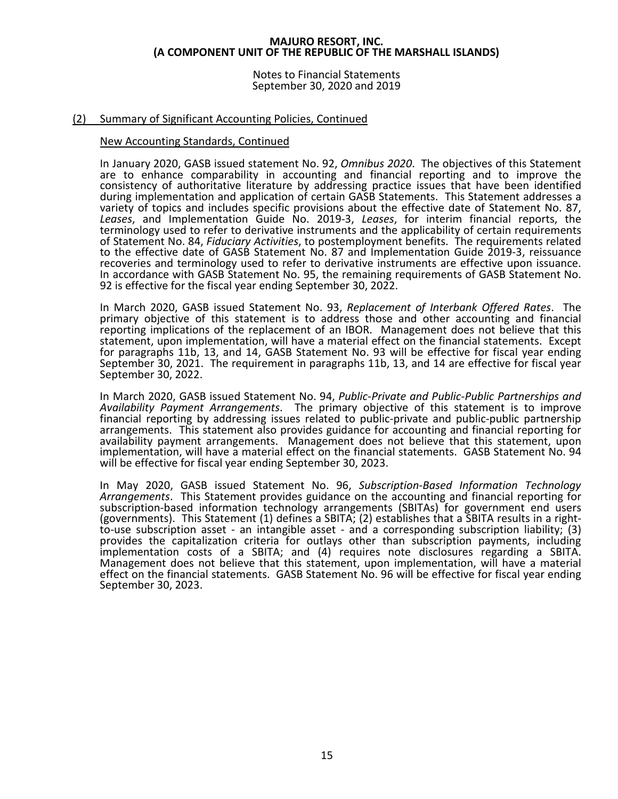Notes to Financial Statements September 30, 2020 and 2019

# (2) Summary of Significant Accounting Policies, Continued

#### New Accounting Standards, Continued

In January 2020, GASB issued statement No. 92, *Omnibus 2020*. The objectives of this Statement are to enhance comparability in accounting and financial reporting and to improve the consistency of authoritative literature by addressing practice issues that have been identified during implementation and application of certain GASB Statements. This Statement addresses a variety of topics and includes specific provisions about the effective date of Statement No. 87, *Leases*, and Implementation Guide No. 2019-3, *Leases*, for interim financial reports, the terminology used to refer to derivative instruments and the applicability of certain requirements of Statement No. 84, *Fiduciary Activities*, to postemployment benefits. The requirements related to the effective date of GASB Statement No. 87 and Implementation Guide 2019-3, reissuance recoveries and terminology used to refer to derivative instruments are effective upon issuance. In accordance with GASB Statement No. 95, the remaining requirements of GASB Statement No. 92 is effective for the fiscal year ending September 30, 2022.

In March 2020, GASB issued Statement No. 93, *Replacement of Interbank Offered Rates*. The primary objective of this statement is to address those and other accounting and financial reporting implications of the replacement of an IBOR. Management does not believe that this statement, upon implementation, will have a material effect on the financial statements. Except for paragraphs 11b, 13, and 14, GASB Statement No. 93 will be effective for fiscal year ending September 30, 2021. The requirement in paragraphs 11b, 13, and 14 are effective for fiscal year September 30, 2022.

In March 2020, GASB issued Statement No. 94, *Public-Private and Public-Public Partnerships and Availability Payment Arrangements*. The primary objective of this statement is to improve financial reporting by addressing issues related to public-private and public-public partnership arrangements. This statement also provides guidance for accounting and financial reporting for availability payment arrangements. Management does not believe that this statement, upon implementation, will have a material effect on the financial statements. GASB Statement No. 94 will be effective for fiscal year ending September 30, 2023.

In May 2020, GASB issued Statement No. 96, *Subscription-Based Information Technology Arrangements*. This Statement provides guidance on the accounting and financial reporting for subscription-based information technology arrangements (SBITAs) for government end users (governments). This Statement (1) defines a SBITA; (2) establishes that a SBITA results in a right-<br>to-use subscription asset - an intangible asset - and a corresponding subscription liability; (3) provides the capitalization criteria for outlays other than subscription payments, including<br>implementation costs of a SBITA; and (4) requires note disclosures regarding a SBITA. Management does not believe that this statement, upon implementation, will have a material effect on the financial statements. GASB Statement No. 96 will be effective for fiscal year ending September 30, 2023.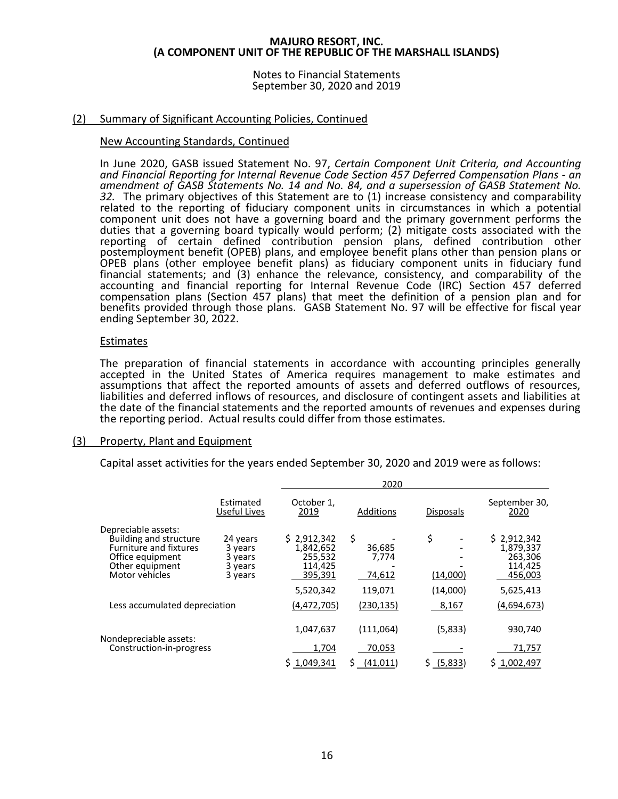Notes to Financial Statements September 30, 2020 and 2019

# (2) Summary of Significant Accounting Policies, Continued

#### New Accounting Standards, Continued

In June 2020, GASB issued Statement No. 97, *Certain Component Unit Criteria, and Accounting and Financial Reporting for Internal Revenue Code Section 457 Deferred Compensation Plans - an amendment of GASB Statements No. 14 and No. 84, and a supersession of GASB Statement No. 32.* The primary objectives of this Statement are to (1) increase consistency and comparability related to the reporting of fiduciary component units in circumstances in which a potential component unit does not have a governing board and the primary government performs the duties that a governing board typically would perform; (2) mitigate costs associated with the reporting of certain defined contribution pension plans, defined contribution other postemployment benefit (OPEB) plans, and employee benefit plans other than pension plans or OPEB plans (other employee benefit plans) as fiduciary component units in fiduciary fund financial statements; and (3) enhance the relevance, consistency, and comparability of the accounting and financial reporting for Internal Revenue Code (IRC) Section 457 deferred compensation plans (Section 457 plans) that meet the definition of a pension plan and for benefits provided through those plans. GASB Statement No. 97 will be effective for fiscal year ending September 30, 2022.

# Estimates

The preparation of financial statements in accordance with accounting principles generally accepted in the United States of America requires management to make estimates and assumptions that affect the reported amounts of assets and deferred outflows of resources, liabilities and deferred inflows of resources, and disclosure of contingent assets and liabilities at the date of the financial statements and the reported amounts of revenues and expenses during the reporting period. Actual results could differ from those estimates.

#### (3) Property, Plant and Equipment

Capital asset activities for the years ended September 30, 2020 and 2019 were as follows:

|                                                                                                                                                |                                                      |                                                           | 2020                            |                   |                                                           |
|------------------------------------------------------------------------------------------------------------------------------------------------|------------------------------------------------------|-----------------------------------------------------------|---------------------------------|-------------------|-----------------------------------------------------------|
|                                                                                                                                                | Estimated<br>Useful Lives                            | October 1,<br>2019                                        | Additions                       | <b>Disposals</b>  | September 30,<br>2020                                     |
| Depreciable assets:<br><b>Building and structure</b><br><b>Furniture and fixtures</b><br>Office equipment<br>Other equipment<br>Motor vehicles | 24 years<br>3 years<br>3 years<br>3 years<br>3 years | \$2,912,342<br>1,842,652<br>255,532<br>114,425<br>395,391 | \$<br>36,685<br>7,774<br>74,612 | \$<br>(14,000)    | \$2,912,342<br>1,879,337<br>263,306<br>114,425<br>456.003 |
| Less accumulated depreciation                                                                                                                  |                                                      | 5,520,342<br>(4, 472, 705)                                | 119,071<br>(230, 135)           | (14,000)<br>8,167 | 5,625,413<br>(4,694,673)                                  |
| Nondepreciable assets:                                                                                                                         |                                                      | 1,047,637                                                 | (111,064)                       | (5,833)           | 930,740                                                   |
| Construction-in-progress                                                                                                                       |                                                      | 1,704<br>1,049,341                                        | 70,053<br>(41, 011)             | \$ (5,833)        | 71,757<br>1,002,497<br>\$                                 |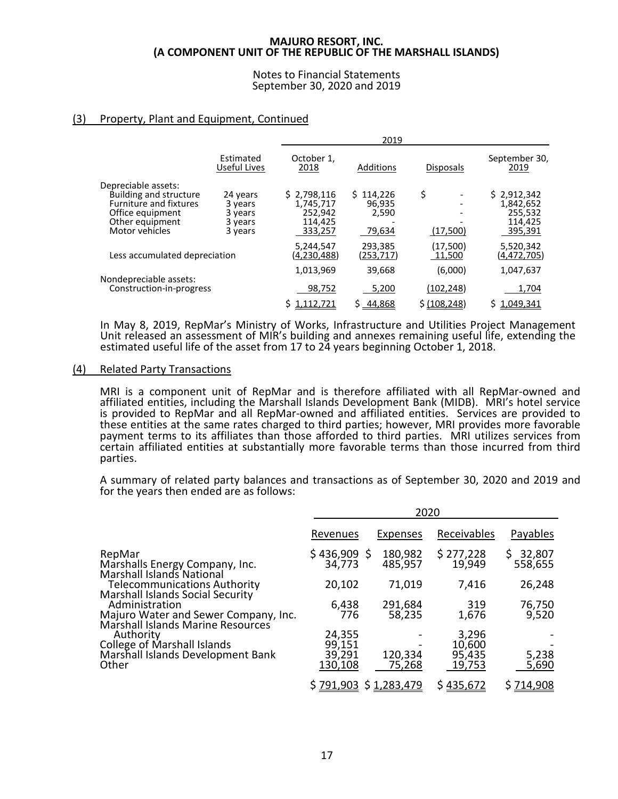Notes to Financial Statements September 30, 2020 and 2019

# (3) Property, Plant and Equipment, Continued

|                                                                                                                                                |                                                      |                                                           | 2019                                   |                                       |                                                           |
|------------------------------------------------------------------------------------------------------------------------------------------------|------------------------------------------------------|-----------------------------------------------------------|----------------------------------------|---------------------------------------|-----------------------------------------------------------|
|                                                                                                                                                | Estimated<br>Useful Lives                            | October 1,<br>2018                                        | <b>Additions</b>                       | <b>Disposals</b>                      | September 30,<br>2019                                     |
| Depreciable assets:<br><b>Building and structure</b><br><b>Furniture and fixtures</b><br>Office equipment<br>Other equipment<br>Motor vehicles | 24 years<br>3 years<br>3 years<br>3 years<br>3 years | \$2,798,116<br>1,745,717<br>252,942<br>114,425<br>333,257 | \$114,226<br>96,935<br>2,590<br>79,634 | \$<br>(17,500)                        | \$2,912,342<br>1,842,652<br>255,532<br>114,425<br>395.391 |
| Less accumulated depreciation                                                                                                                  |                                                      | 5,244,547<br>(4,230,488)                                  | 293,385<br>(253,717)                   | (17,500)<br>11,500                    | 5,520,342<br>(4,472,705)                                  |
| Nondepreciable assets:<br>Construction-in-progress                                                                                             |                                                      | 1,013,969<br>98,752<br>1,112,721                          | 39,668<br>5,200<br>\$44,868            | (6,000)<br>(102,248)<br>\$ (108, 248) | 1,047,637<br>1,704<br>1,049,341                           |

In May 8, 2019, RepMar's Ministry of Works, Infrastructure and Utilities Project Management Unit released an assessment of MIR's building and annexes remaining useful life, extending the estimated useful life of the asset from 17 to 24 years beginning October 1, 2018.

# (4) Related Party Transactions

MRI is a component unit of RepMar and is therefore affiliated with all RepMar-owned and affiliated entities, including the Marshall Islands Development Bank (MIDB). MRI's hotel service is provided to RepMar and all RepMar-owned and affiliated entities. Services are provided to these entities at the same rates charged to third parties; however, MRI provides more favorable payment terms to its affiliates than those afforded to third parties. MRI utilizes services from certain affiliated entities at substantially more favorable terms than those incurred from third parties.

A summary of related party balances and transactions as of September 30, 2020 and 2019 and for the years then ended are as follows:

|                                                                                                                                 | 2020                                  |                    |                                     |                         |  |  |  |
|---------------------------------------------------------------------------------------------------------------------------------|---------------------------------------|--------------------|-------------------------------------|-------------------------|--|--|--|
|                                                                                                                                 | Revenues                              | Expenses           | Receivables                         | Payables                |  |  |  |
| RepMar<br>Marshalls Energy Company, Inc.<br><b>Marshall Islands National</b>                                                    | $$436,909$ \$<br>34,773               | 180,982<br>485,957 | \$277,228<br>19,949                 | Ś.<br>32,807<br>558,655 |  |  |  |
| <b>Telecommunications Authority</b>                                                                                             | 20,102                                | 71,019             | 7,416                               | 26,248                  |  |  |  |
| Marshall Islands Social Security<br>Administration<br>Majuro Water and Sewer Company, Inc.<br>Marshall Islands Marine Resources | 6,438<br>776                          | 291,684<br>58,235  | 319<br>1,676                        | 76,750<br>9,520         |  |  |  |
| Authority<br>College of Marshall Islands<br>Marshall Islands Development Bank<br>Other                                          | 24,355<br>99,151<br>39,291<br>130,108 | 120,334<br>75,268  | 3,296<br>10,600<br>95,435<br>19,753 | 5,238<br>5,690          |  |  |  |
|                                                                                                                                 | \$ 791,903                            | \$1,283,479        | \$435,672                           | \$714,908               |  |  |  |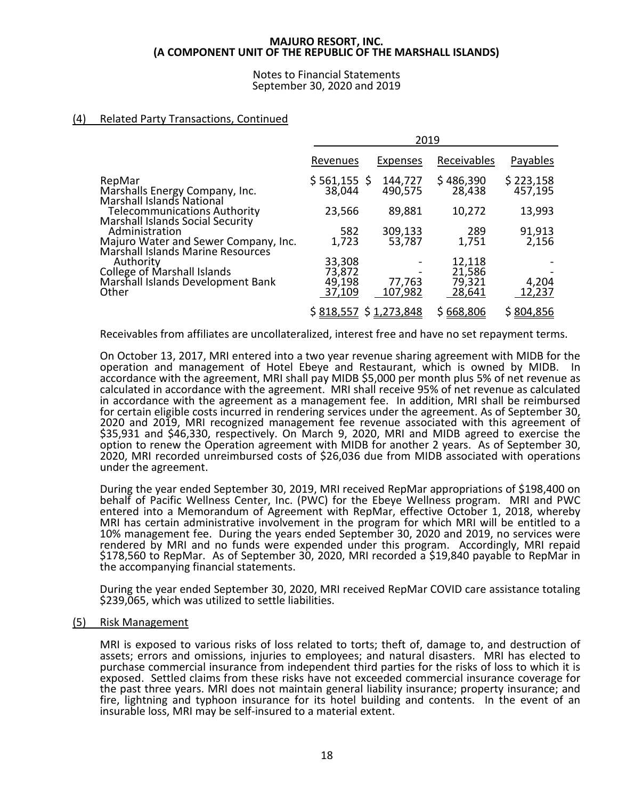Notes to Financial Statements September 30, 2020 and 2019

# (4) Related Party Transactions, Continued

|  |                                                                                                                                                                                                                                                                  | 2019                                 |                    |                                      |                      |
|--|------------------------------------------------------------------------------------------------------------------------------------------------------------------------------------------------------------------------------------------------------------------|--------------------------------------|--------------------|--------------------------------------|----------------------|
|  |                                                                                                                                                                                                                                                                  | Revenues                             | Expenses           | Receivables                          | Payables             |
|  | RepMar<br>Marshalls Energy Company, Inc.<br>Marshall Islands National                                                                                                                                                                                            | $$561,155$ \$<br>38,044              | 144,727<br>490,575 | \$486,390<br>28,438                  | \$223,158<br>457,195 |
|  | <b>Telecommunications Authority</b><br>Marshall Islands Social Security<br>Administration<br>Majuro Water and Sewer Company, Inc.<br>Marshall Islands Marine Resources<br>Authority<br>College of Marshall Islands<br>Marshall Islands Development Bank<br>Other | 23,566                               | 89,881             | 10,272                               | 13,993               |
|  |                                                                                                                                                                                                                                                                  | 582<br>1,723                         | 309,133<br>53,787  | 289<br>1,751                         | 91,913<br>2,156      |
|  |                                                                                                                                                                                                                                                                  | 33,308<br>73,872<br>49,198<br>37,109 | 77,763<br>107,982  | 12,118<br>21,586<br>79,321<br>28,641 | 4,204<br>12,237      |
|  |                                                                                                                                                                                                                                                                  | \$818,557                            | \$1,273,848        | \$668,806                            | \$804,856            |

Receivables from affiliates are uncollateralized, interest free and have no set repayment terms.

On October 13, 2017, MRI entered into a two year revenue sharing agreement with MIDB for the operation and management of Hotel Ebeye and Restaurant, which is owned by MIDB. In accordance with the agreement, MRI shall pay MIDB \$5,000 per month plus 5% of net revenue as calculated in accordance with the agreement. MRI shall receive 95% of net revenue as calculated in accordance with the agreement as a management fee. In addition, MRI shall be reimbursed for certain eligible costs incurred in rendering services under the agreement. As of September 30, 2020 and 2019, MRI recognized management fee revenue associated with this agreement of \$35,931 and \$46,330, respectively. On March 9, 2020, MRI and MIDB agreed to exercise the option to renew the Operation agreement with MIDB for another 2 years. As of September 30, 2020, MRI recorded unreimbursed costs of \$26,036 due from MIDB associated with operations under the agreement.

During the year ended September 30, 2019, MRI received RepMar appropriations of \$198,400 on behalf of Pacific Wellness Center, Inc. (PWC) for the Ebeye Wellness program. MRI and PWC entered into a Memorandum of Agreement with RepMar, effective October 1, 2018, whereby MRI has certain administrative involvement in the program for which MRI will be entitled to a 10% management fee. During the years ended September 30, 2020 and 2019, no services were S178.560 to RepMar. As of September 30, 2020. MRI recorded a \$19.840 payable to RepMar in the accompanying financial statements.

During the year ended September 30, 2020, MRI received RepMar COVID care assistance totaling \$239,065, which was utilized to settle liabilities.

(5) Risk Management

MRI is exposed to various risks of loss related to torts; theft of, damage to, and destruction of assets; errors and omissions, injuries to employees; and natural disasters. MRI has elected to purchase commercial insurance from independent third parties for the risks of loss to which it is exposed. Settled claims from these risks have not exceeded commercial insurance coverage for the past three years. MRI does not maintain general liability insurance; property insurance; and fire, lightning and typhoon insurance for its hotel building and contents. In the event of an insurable loss, MRI may be self-insured to a material extent.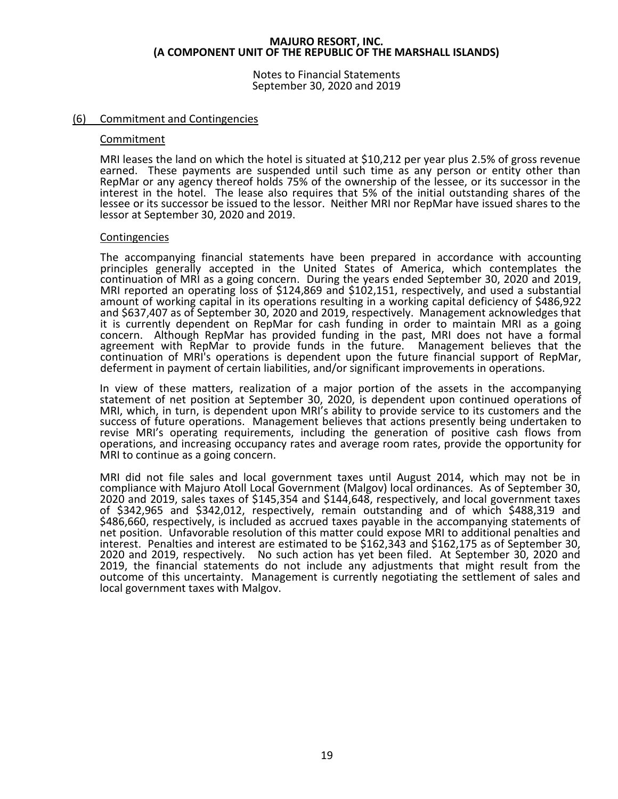Notes to Financial Statements September 30, 2020 and 2019

#### (6) Commitment and Contingencies

#### Commitment

MRI leases the land on which the hotel is situated at \$10,212 per year plus 2.5% of gross revenue earned. These payments are suspended until such time as any person or entity other than RepMar or any agency thereof holds 75% of the ownership of the lessee, or its successor in the interest in the hotel. The lease also requires that 5% of the initial outstanding shares of the lessee or its successor be issued to the lessor. Neither MRI nor RepMar have issued shares to the lessor at September 30, 2020 and 2019.

#### Contingencies

The accompanying financial statements have been prepared in accordance with accounting principles generally accepted in the United States of America, which contemplates the continuation of MRI as a going concern. During the years ended September 30, 2020 and 2019, MRI reported an operating loss of \$124,869 and \$102,151, respectively, and used a substantial amount of working capital in its operations resulting in a working capital deficiency of \$486,922 and \$637,407 as of September 30, 2020 and 2019, respectively. Management acknowledges that it is currently dependent on RepMar for cash funding in order to maintain MRI as a going concern. Although RepMar has provided funding in the past, MRI does not have a formal agreement with RepMar to provide funds in the future. Management believes that the continuation of MRI's operations is dependent upon the future financial support of RepMar, deferment in payment of certain liabilities, and/or significant improvements in operations.

In view of these matters, realization of a major portion of the assets in the accompanying statement of net position at September 30, 2020, is dependent upon continued operations of MRI, which, in turn, is dependent upon MRI's ability to provide service to its customers and the success of future operations. Management believes that actions presently being undertaken to revise MRI's operating requirements, including the generation of positive cash flows from operations, and increasing occupancy rates and average room rates, provide the opportunity for MRI to continue as a going concern.

MRI did not file sales and local government taxes until August 2014, which may not be in compliance with Majuro Atoll Local Government (Malgov) local ordinances. As of September 30,<br>2020 and 2019, sales taxes of \$145,354 and \$144,648, respectively, and local government taxes 2020 and 2019, sales taxes of \$145,354 and \$144,648, respectively, and local government taxes<br>of \$342,965 and \$342,012, respectively, remain outstanding and of which \$488,319 and \$486,660, respectively, is included as accrued taxes payable in the accompanying statements of net position. Unfavorable resolution of this matter could expose MRI to additional penalties and interest. Penalties and interest are estimated to be \$162,343 and \$162,175 as of September 30, 2020 and 2019, respectively. No such action has yet been filed. At September 30, 2020 and 2019, the financial statements do not include any adjustments that might result from the outcome of this uncertainty. Management is currently negotiating the settlement of sales and local government taxes with Malgov.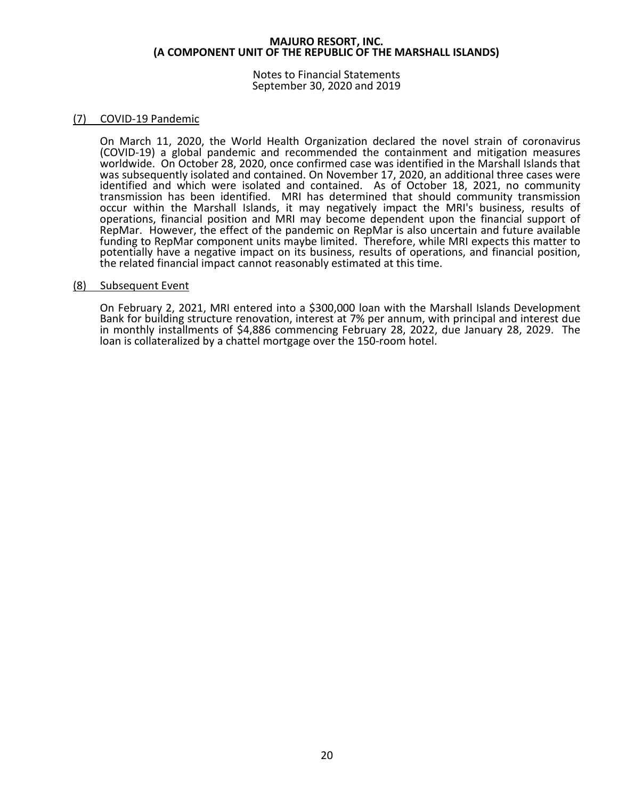Notes to Financial Statements September 30, 2020 and 2019

# (7) COVID-19 Pandemic

On March 11, 2020, the World Health Organization declared the novel strain of coronavirus (COVID-19) a global pandemic and recommended the containment and mitigation measures worldwide. On October 28, 2020, once confirmed case was identified in the Marshall Islands that was subsequently isolated and contained. On November 17, 2020, an additional three cases were identified and which were isolated and contained. As of October 18, 2021, no community transmission has been identified. MRI has determined that should community transmission occur within the Marshall Islands, it may negatively impact the MRI's business, results of operations, financial position and MRI may become dependent upon the financial support of RepMar. However, the effect of the pandemic on RepMar is also uncertain and future available funding to RepMar component units maybe limited. Therefore, while MRI expects this matter to potentially have a negative impact on its business, results of operations, and financial position, the related financial impact cannot reasonably estimated at this time.

# (8) Subsequent Event

On February 2, 2021, MRI entered into a \$300,000 loan with the Marshall Islands Development<br>Bank for building structure renovation, interest at 7% per annum, with principal and interest due in monthly installments of \$4,886 commencing February 28, 2022, due January 28, 2029. The loan is collateralized by a chattel mortgage over the 150-room hotel.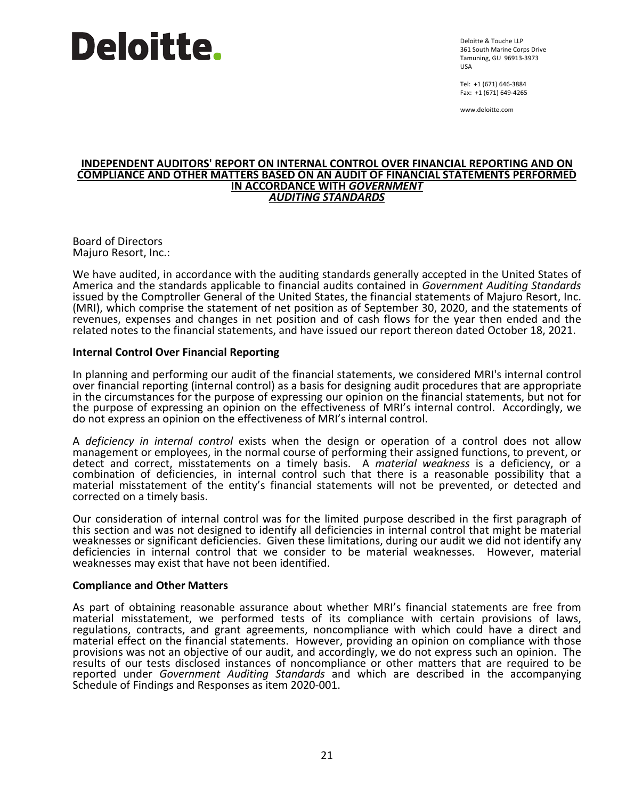# Deloitte.

Deloitte & Touche LLP 361 South Marine Corps Drive Tamuning, GU 96913-3973 USA

Tel: +1 (671) 646-3884 Fax: +1 (671) 649-4265

www.deloitte.com

#### **INDEPENDENT AUDITORS' REPORT ON INTERNAL CONTROL OVER FINANCIAL REPORTING AND ON COMPLIANCE AND OTHER MATTERS BASED ON AN AUDIT OF FINANCIAL STATEMENTS PERFORMED IN ACCORDANCE WITH** *GOVERNMENT AUDITING STANDARDS*

Board of Directors Majuro Resort, Inc.:

We have audited, in accordance with the auditing standards generally accepted in the United States of America and the standards applicable to financial audits contained in *Government Auditing Standards* issued by the Comptroller General of the United States, the financial statements of Majuro Resort, Inc. (MRI), which comprise the statement of net position as of September 30, 2020, and the statements of revenues, expenses and changes in net position and of cash flows for the year then ended and the related notes to the financial statements, and have issued our report thereon dated October 18, 2021.

# **Internal Control Over Financial Reporting**

In planning and performing our audit of the financial statements, we considered MRI's internal control over financial reporting (internal control) as a basis for designing audit procedures that are appropriate in the circumstances for the purpose of expressing our opinion on the financial statements, but not for the purpose of expressing an opinion on the effectiveness of MRI's internal control. Accordingly, we do not express an opinion on the effectiveness of MRI's internal control.

A *deficiency in internal control* exists when the design or operation of a control does not allow management or employees, in the normal course of performing their assigned functions, to prevent, or detect and correct, misstatements on a timely basis. A *material weakness* is a deficiency, or a combination of deficiencies, in internal control such that there is a reasonable possibility that a material misstatement of the entity's financial statements will not be prevented, or detected and corrected on a timely basis.

Our consideration of internal control was for the limited purpose described in the first paragraph of this section and was not designed to identify all deficiencies in internal control that might be material weaknesses or significant deficiencies. Given these limitations, during our audit we did not identify any deficiencies in internal control that we consider to be material weaknesses. However, material weaknesses may exist that have not been identified.

# **Compliance and Other Matters**

As part of obtaining reasonable assurance about whether MRI's financial statements are free from material misstatement, we performed tests of its compliance with certain provisions of laws, regulations, contracts, and grant agreements, noncompliance with which could have a direct and material effect on the financial statements. However, providing an opinion on compliance with those provisions was not an objective of our audit, and accordingly, we do not express such an opinion. The results of our tests disclosed instances of noncompliance or other matters that are required to be reported under *Government Auditing Standards* and which are described in the accompanying Schedule of Findings and Responses as item 2020-001.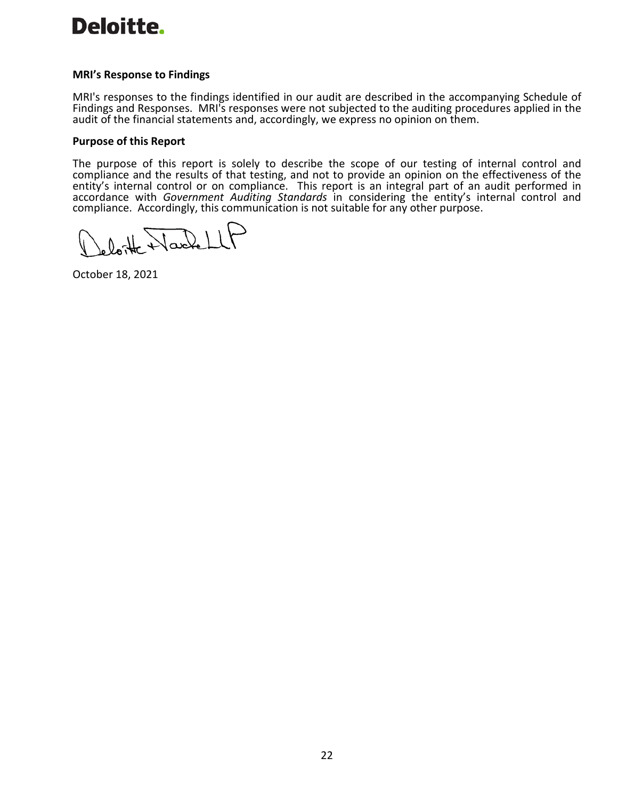# Deloitte.

# **MRI's Response to Findings**

MRI's responses to the findings identified in our audit are described in the accompanying Schedule of Findings and Responses. MRI's responses were not subjected to the auditing procedures applied in the audit of the financial statements and, accordingly, we express no opinion on them.

# **Purpose of this Report**

The purpose of this report is solely to describe the scope of our testing of internal control and compliance and the results of that testing, and not to provide an opinion on the effectiveness of the entity's internal control or on compliance. This report is an integral part of an audit performed in accordance with *Government Auditing Standards* in considering the entity's internal control and compliance. Accordingly, this communication is not suitable for any other purpose.

He Wackell

October 18, 2021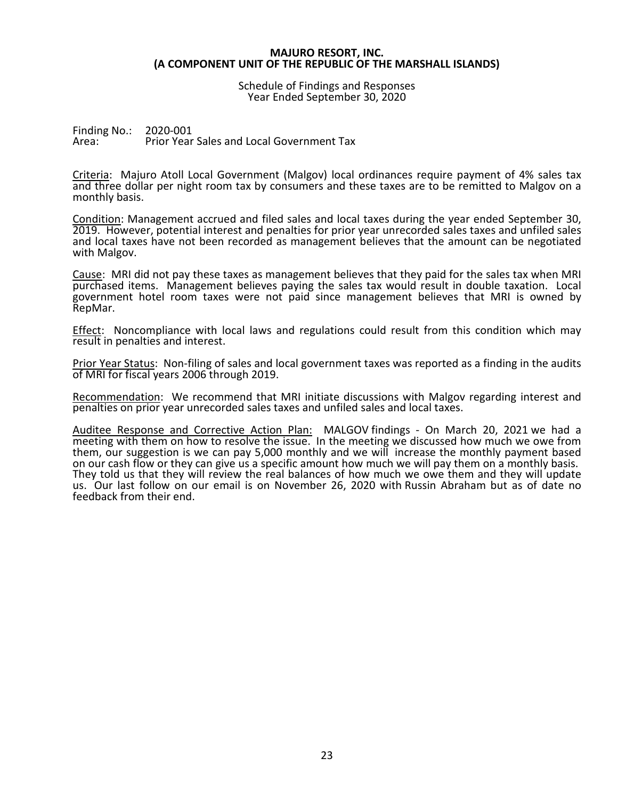Schedule of Findings and Responses Year Ended September 30, 2020

Finding No.: 2020-001 Area: Prior Year Sales and Local Government Tax

Criteria: Majuro Atoll Local Government (Malgov) local ordinances require payment of 4% sales tax and three dollar per night room tax by consumers and these taxes are to be remitted to Malgov on a monthly basis.

Condition: Management accrued and filed sales and local taxes during the year ended September 30, 2019. However, potential interest and penalties for prior year unrecorded sales taxes and unfiled sales and local taxes have not been recorded as management believes that the amount can be negotiated with Malgov.

Cause: MRI did not pay these taxes as management believes that they paid for the sales tax when MRI purchased items. Management believes paying the sales tax would result in double taxation. Local government hotel room taxes were not paid since management believes that MRI is owned by RepMar.

Effect: Noncompliance with local laws and regulations could result from this condition which may result in penalties and interest.

Prior Year Status: Non-filing of sales and local government taxes was reported as a finding in the audits of MRI for fiscal years 2006 through 2019.

Recommendation: We recommend that MRI initiate discussions with Malgov regarding interest and penalties on prior year unrecorded sales taxes and unfiled sales and local taxes.

Auditee Response and Corrective Action Plan: MALGOV findings - On March 20, 2021 we had a meeting with them on how to resolve the issue. In the meeting we discussed how much we owe from them, our suggestion is we can pay 5,000 monthly and we will increase the monthly payment based on our cash flow or they can give us a specific amount how much we will pay them on a monthly basis. They told us that they will review the real balances of how much we owe them and they will update us. Our last follow on our email is on November 26, 2020 with Russin Abraham but as of date no feedback from their end.